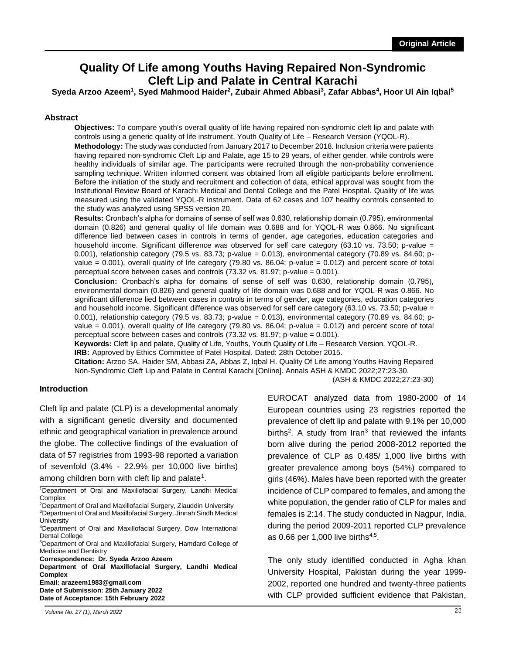# **Quality Of Life among Youths Having Repaired Non-Syndromic Cleft Lip and Palate in Central Karachi**

Syeda Arzoo Azeem<sup>1</sup>, Syed Mahmood Haider<sup>2</sup>, Zubair Ahmed Abbasi<sup>3</sup>, Zafar Abbas<sup>4</sup>, Hoor Ul Ain Iqbal<sup>5</sup>

#### **Abstract**

**Objectives:** To compare youth's overall quality of life having repaired non-syndromic cleft lip and palate with controls using a generic quality of life instrument, Youth Quality of Life – Research Version (YQOL-R).

**Methodology:** The study was conducted from January 2017 to December 2018. Inclusion criteria were patients having repaired non-syndromic Cleft Lip and Palate, age 15 to 29 years, of either gender, while controls were healthy individuals of similar age. The participants were recruited through the non-probability convenience sampling technique. Written informed consent was obtained from all eligible participants before enrollment. Before the initiation of the study and recruitment and collection of data, ethical approval was sought from the Institutional Review Board of Karachi Medical and Dental College and the Patel Hospital. Quality of life was measured using the validated YQOL-R instrument. Data of 62 cases and 107 healthy controls consented to the study was analyzed using SPSS version 20.

**Results:** Cronbach's alpha for domains of sense of self was 0.630, relationship domain (0.795), environmental domain (0.826) and general quality of life domain was 0.688 and for YQOL-R was 0.866. No significant difference lied between cases in controls in terms of gender, age categories, education categories and household income. Significant difference was observed for self care category (63.10 vs. 73.50; p-value = 0.001), relationship category (79.5 vs. 83.73; p-value = 0.013), environmental category (70.89 vs. 84.60; pvalue = 0.001), overall quality of life category (79.80 vs. 86.04; p-value = 0.012) and percent score of total perceptual score between cases and controls (73.32 vs. 81.97; p-value = 0.001).

**Conclusion:** Cronbach's alpha for domains of sense of self was 0.630, relationship domain (0.795), environmental domain (0.826) and general quality of life domain was 0.688 and for YQOL-R was 0.866. No significant difference lied between cases in controls in terms of gender, age categories, education categories and household income. Significant difference was observed for self care category (63.10 vs. 73.50; p-value = 0.001), relationship category (79.5 vs. 83.73; p-value = 0.013), environmental category (70.89 vs. 84.60; pvalue = 0.001), overall quality of life category (79.80 vs. 86.04; p-value = 0.012) and percent score of total perceptual score between cases and controls (73.32 vs. 81.97; p-value = 0.001).

**Keywords:** Cleft lip and palate, Quality of Life, Youths, Youth Quality of Life – Research Version, YQOL-R. **IRB:** Approved by Ethics Committee of Patel Hospital. Dated: 28th October 2015.

**Citation:** Arzoo SA, Haider SM, Abbasi ZA, Abbas Z, Iqbal H. Quality Of Life among Youths Having Repaired Non-Syndromic Cleft Lip and Palate in Central Karachi [Online]. Annals ASH & KMDC 2022;27:23-30.

(ASH & KMDC 2022;27:23-30)

#### **Introduction**

Cleft lip and palate (CLP) is a developmental anomaly with a significant genetic diversity and documented ethnic and geographical variation in prevalence around the globe. The collective findings of the evaluation of data of 57 registries from 1993-98 reported a variation of sevenfold (3.4% - 22.9% per 10,000 live births) among children born with cleft lip and palate<sup>1</sup>.

<sup>5</sup>Department of Oral and Maxillofacial Surgery, Hamdard College of Medicine and Dentistry

**Correspondence: Dr. Syeda Arzoo Azeem** 

**Department of Oral Maxillofacial Surgery, Landhi Medical Complex**

**Email: arazeem1983@gmail.com**

**Date of Submission: 25th January 2022 Date of Acceptance: 15th February 2022** EUROCAT analyzed data from 1980-2000 of 14 European countries using 23 registries reported the prevalence of cleft lip and palate with 9.1% per 10,000 births<sup>2</sup>. A study from Iran<sup>3</sup> that reviewed the infants born alive during the period 2008-2012 reported the prevalence of CLP as 0.485/ 1,000 live births with greater prevalence among boys (54%) compared to girls (46%). Males have been reported with the greater incidence of CLP compared to females, and among the white population, the gender ratio of CLP for males and females is 2:14. The study conducted in Nagpur, India, during the period 2009-2011 reported CLP prevalence as 0.66 per 1,000 live births $4.5$ .

The only study identified conducted in Agha khan University Hospital, Pakistan during the year 1999- 2002, reported one hundred and twenty-three patients with CLP provided sufficient evidence that Pakistan,

<sup>1</sup>Department of Oral and Maxillofacial Surgery, Landhi Medical Complex

<sup>2</sup>Department of Oral and Maxillofacial Surgery, Ziauddin University <sup>3</sup>Department of Oral and Maxillofacial Surgery, Jinnah Sindh Medical **University** 

<sup>4</sup>Department of Oral and Maxillofacial Surgery, Dow International Dental College

*Volume No. 27 (1), March 2022* **265**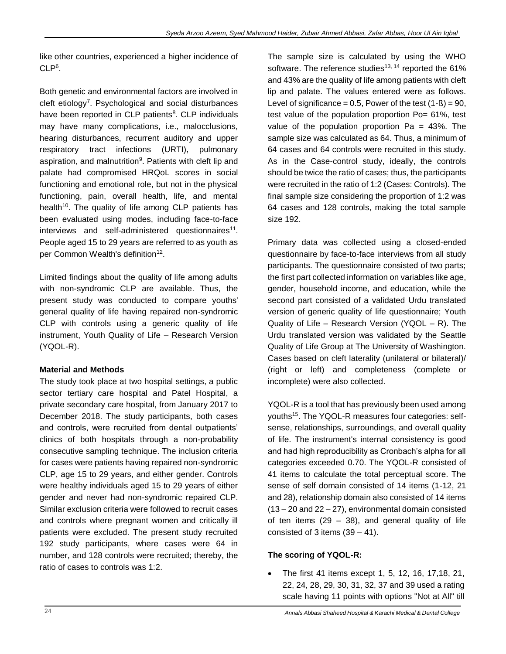like other countries, experienced a higher incidence of  $CLP<sup>6</sup>$ .

Both genetic and environmental factors are involved in cleft etiology<sup>7</sup> . Psychological and social disturbances have been reported in CLP patients<sup>8</sup>. CLP individuals may have many complications, i.e., malocclusions, hearing disturbances, recurrent auditory and upper respiratory tract infections (URTI), pulmonary aspiration, and malnutrition<sup>9</sup>. Patients with cleft lip and palate had compromised HRQoL scores in social functioning and emotional role, but not in the physical functioning, pain, overall health, life, and mental health<sup>10</sup>. The quality of life among CLP patients has been evaluated using modes, including face-to-face interviews and self-administered questionnaires<sup>11</sup>. People aged 15 to 29 years are referred to as youth as per Common Wealth's definition<sup>12</sup>.

Limited findings about the quality of life among adults with non-syndromic CLP are available. Thus, the present study was conducted to compare youths' general quality of life having repaired non-syndromic CLP with controls using a generic quality of life instrument, Youth Quality of Life – Research Version (YQOL-R).

# **Material and Methods**

The study took place at two hospital settings, a public sector tertiary care hospital and Patel Hospital, a private secondary care hospital, from January 2017 to December 2018. The study participants, both cases and controls, were recruited from dental outpatients' clinics of both hospitals through a non-probability consecutive sampling technique. The inclusion criteria for cases were patients having repaired non-syndromic CLP, age 15 to 29 years, and either gender. Controls were healthy individuals aged 15 to 29 years of either gender and never had non-syndromic repaired CLP. Similar exclusion criteria were followed to recruit cases and controls where pregnant women and critically ill patients were excluded. The present study recruited 192 study participants, where cases were 64 in number, and 128 controls were recruited; thereby, the ratio of cases to controls was 1:2.

The sample size is calculated by using the WHO software. The reference studies<sup>13, 14</sup> reported the  $61\%$ and 43% are the quality of life among patients with cleft lip and palate. The values entered were as follows. Level of significance =  $0.5$ , Power of the test  $(1 - B) = 90$ , test value of the population proportion Po= 61%, test value of the population proportion  $Pa = 43\%$ . The sample size was calculated as 64. Thus, a minimum of 64 cases and 64 controls were recruited in this study. As in the Case-control study, ideally, the controls should be twice the ratio of cases; thus, the participants were recruited in the ratio of 1:2 (Cases: Controls). The final sample size considering the proportion of 1:2 was 64 cases and 128 controls, making the total sample size 192.

Primary data was collected using a closed-ended questionnaire by face-to-face interviews from all study participants. The questionnaire consisted of two parts; the first part collected information on variables like age, gender, household income, and education, while the second part consisted of a validated Urdu translated version of generic quality of life questionnaire; Youth Quality of Life – Research Version (YQOL – R). The Urdu translated version was validated by the Seattle Quality of Life Group at The University of Washington. Cases based on cleft laterality (unilateral or bilateral)/ (right or left) and completeness (complete or incomplete) were also collected.

YQOL-R is a tool that has previously been used among youths<sup>15</sup>. The YQOL-R measures four categories: selfsense, relationships, surroundings, and overall quality of life. The instrument's internal consistency is good and had high reproducibility as Cronbach's alpha for all categories exceeded 0.70. The YQOL-R consisted of 41 items to calculate the total perceptual score. The sense of self domain consisted of 14 items (1-12, 21 and 28), relationship domain also consisted of 14 items (13 – 20 and 22 – 27), environmental domain consisted of ten items  $(29 - 38)$ , and general quality of life consisted of 3 items  $(39 - 41)$ .

## **The scoring of YQOL-R:**

 The first 41 items except 1, 5, 12, 16, 17,18, 21, 22, 24, 28, 29, 30, 31, 32, 37 and 39 used a rating scale having 11 points with options "Not at All" till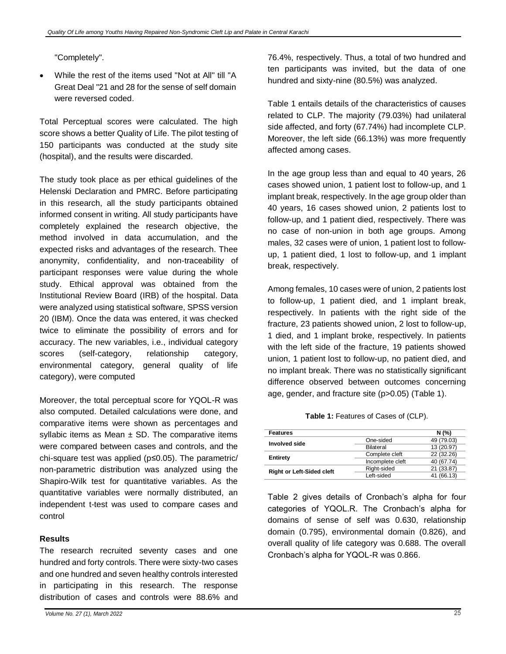"Completely".

 While the rest of the items used "Not at All" till "A Great Deal "21 and 28 for the sense of self domain were reversed coded.

Total Perceptual scores were calculated. The high score shows a better Quality of Life. The pilot testing of 150 participants was conducted at the study site (hospital), and the results were discarded.

The study took place as per ethical guidelines of the Helenski Declaration and PMRC. Before participating in this research, all the study participants obtained informed consent in writing. All study participants have completely explained the research objective, the method involved in data accumulation, and the expected risks and advantages of the research. Thee anonymity, confidentiality, and non-traceability of participant responses were value during the whole study. Ethical approval was obtained from the Institutional Review Board (IRB) of the hospital. Data were analyzed using statistical software, SPSS version 20 (IBM). Once the data was entered, it was checked twice to eliminate the possibility of errors and for accuracy. The new variables, i.e., individual category scores (self-category, relationship category, environmental category, general quality of life category), were computed

Moreover, the total perceptual score for YQOL-R was also computed. Detailed calculations were done, and comparative items were shown as percentages and syllabic items as Mean  $\pm$  SD. The comparative items were compared between cases and controls, and the chi-square test was applied (p≤0.05). The parametric/ non-parametric distribution was analyzed using the Shapiro-Wilk test for quantitative variables. As the quantitative variables were normally distributed, an independent t-test was used to compare cases and control

### **Results**

The research recruited seventy cases and one hundred and forty controls. There were sixty-two cases and one hundred and seven healthy controls interested in participating in this research. The response distribution of cases and controls were 88.6% and 76.4%, respectively. Thus, a total of two hundred and ten participants was invited, but the data of one hundred and sixty-nine (80.5%) was analyzed.

Table 1 entails details of the characteristics of causes related to CLP. The majority (79.03%) had unilateral side affected, and forty (67.74%) had incomplete CLP. Moreover, the left side (66.13%) was more frequently affected among cases.

In the age group less than and equal to 40 years, 26 cases showed union, 1 patient lost to follow-up, and 1 implant break, respectively. In the age group older than 40 years, 16 cases showed union, 2 patients lost to follow-up, and 1 patient died, respectively. There was no case of non-union in both age groups. Among males, 32 cases were of union, 1 patient lost to followup, 1 patient died, 1 lost to follow-up, and 1 implant break, respectively.

Among females, 10 cases were of union, 2 patients lost to follow-up, 1 patient died, and 1 implant break, respectively. In patients with the right side of the fracture, 23 patients showed union, 2 lost to follow-up, 1 died, and 1 implant broke, respectively. In patients with the left side of the fracture, 19 patients showed union, 1 patient lost to follow-up, no patient died, and no implant break. There was no statistically significant difference observed between outcomes concerning age, gender, and fracture site (p>0.05) (Table 1).

**Table 1:** Features of Cases of (CLP).

| <b>Features</b>                  |                  | N(%        |
|----------------------------------|------------------|------------|
| Involved side                    | One-sided        | 49 (79.03) |
|                                  | Bilateral        | 13 (20.97) |
| <b>Entirety</b>                  | Complete cleft   | 22 (32.26) |
|                                  | Incomplete cleft | 40 (67.74) |
| <b>Right or Left-Sided cleft</b> | Right-sided      | 21 (33.87) |
|                                  | Left-sided       | 41 (66.13) |

Table 2 gives details of Cronbach's alpha for four categories of YQOL.R. The Cronbach's alpha for domains of sense of self was 0.630, relationship domain (0.795), environmental domain (0.826), and overall quality of life category was 0.688. The overall Cronbach's alpha for YQOL-R was 0.866.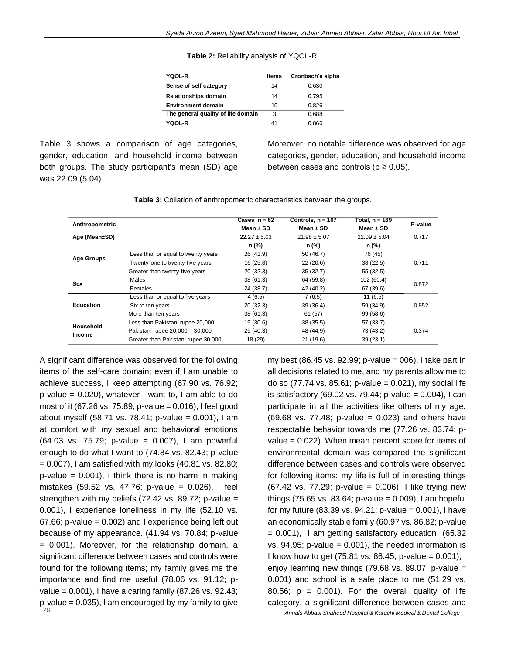| Table 2: Reliability analysis of YQOL-R. |  |  |  |  |
|------------------------------------------|--|--|--|--|
|------------------------------------------|--|--|--|--|

| <b>YQOL-R</b>                      | <b>Items</b> | Cronbach's alpha |
|------------------------------------|--------------|------------------|
| Sense of self category             | 14           | 0.630            |
| <b>Relationships domain</b>        | 14           | 0 7 9 5          |
| <b>Environment domain</b>          | 10           | 0.826            |
| The general quality of life domain | 3            | 0.688            |
| YOOL-R                             | 41           | 0.866            |

Table 3 shows a comparison of age categories, gender, education, and household income between both groups. The study participant's mean (SD) age was 22.09 (5.04).

Moreover, no notable difference was observed for age categories, gender, education, and household income between cases and controls ( $p \ge 0.05$ ).

| Anthropometric    |                                     | Cases $n = 62$   | Controls, $n = 107$ | Total, n = 169   | P-value |
|-------------------|-------------------------------------|------------------|---------------------|------------------|---------|
|                   |                                     | Mean $\pm$ SD    | Mean $\pm$ SD       | Mean $\pm$ SD    |         |
| Age (Mean±SD)     |                                     | $22.27 \pm 5.03$ | $21.98 \pm 5.07$    | $22.09 \pm 5.04$ | 0.717   |
|                   |                                     | n (%)            | n (%)               | n (%)            |         |
|                   | Less than or equal to twenty years  | 26 (41.9)        | 50(46.7)            | 76 (45)          |         |
| <b>Age Groups</b> | Twenty-one to twenty-five years     | 16(25.8)         | 22(20.6)            | 38 (22.5)        | 0.711   |
|                   | Greater than twenty-five years      | 20(32.3)         | 35(32.7)            | 55 (32.5)        |         |
| Sex               | Males                               | 38(61.3)         | 64 (59.8)           | 102 (60.4)       | 0.872   |
|                   | Females                             | 24 (38.7)        | 42 (40.2)           | 67 (39.6)        |         |
|                   | Less than or equal to five years    | 4(6.5)           | 7(6.5)              | 11(6.5)          |         |
| <b>Education</b>  | Six to ten years                    | 20(32.3)         | 39(36.4)            | 59 (34.9)        | 0.852   |
|                   | More than ten years                 | 38(61.3)         | 61 (57)             | 99 (58.6)        |         |
| Household         | Less than Pakistani rupee 20,000    | 19 (30.6)        | 38(35.5)            | 57 (33.7)        |         |
| Income            | Pakistani rupee 20,000 - 30,000     | 25(40.3)         | 48 (44.9)           | 73 (43.2)        | 0.374   |
|                   | Greater than Pakistani rupee 30,000 | 18 (29)          | 21(19.6)            | 39(23.1)         |         |

**Table 3:** Collation of anthropometric characteristics between the groups.

A significant difference was observed for the following items of the self-care domain; even if I am unable to achieve success, I keep attempting (67.90 vs. 76.92; p-value =  $0.020$ ), whatever I want to, I am able to do most of it (67.26 vs. 75.89; p-value = 0.016), I feel good about myself (58.71 vs. 78.41; p-value =  $0.001$ ), I am at comfort with my sexual and behavioral emotions (64.03 vs. 75.79; p-value = 0.007), I am powerful enough to do what I want to (74.84 vs. 82.43; p-value  $= 0.007$ ), I am satisfied with my looks (40.81 vs. 82.80;  $p$ -value = 0.001), I think there is no harm in making mistakes (59.52 vs. 47.76; p-value = 0.026), I feel strengthen with my beliefs  $(72.42 \text{ vs. } 89.72; \text{ p-value } =$ 0.001), I experience loneliness in my life (52.10 vs. 67.66; p-value = 0.002) and I experience being left out because of my appearance. (41.94 vs. 70.84; p-value = 0.001). Moreover, for the relationship domain, a significant difference between cases and controls were found for the following items; my family gives me the importance and find me useful (78.06 vs. 91.12; pvalue = 0.001), I have a caring family (87.26 vs. 92.43;  $p$ -value = 0.035). I am encouraged by my family to give

all decisions related to me, and my parents allow me to do so (77.74 vs. 85.61; p-value = 0.021), my social life is satisfactory (69.02 vs. 79.44; p-value =  $0.004$ ), I can participate in all the activities like others of my age. (69.68 vs. 77.48; p-value = 0.023) and others have respectable behavior towards me (77.26 vs. 83.74; pvalue = 0.022). When mean percent score for items of environmental domain was compared the significant difference between cases and controls were observed for following items: my life is full of interesting things (67.42 vs. 77.29; p-value = 0.006), I like trying new things (75.65 vs. 83.64; p-value =  $0.009$ ), I am hopeful for my future  $(83.39 \text{ vs. } 94.21; \text{ p-value} = 0.001)$ , I have an economically stable family (60.97 vs. 86.82; p-value = 0.001), I am getting satisfactory education (65.32 vs.  $94.95$ ; p-value =  $0.001$ ), the needed information is I know how to get (75.81 vs. 86.45; p-value =  $0.001$ ), I enjoy learning new things (79.68 vs. 89.07; p-value = 0.001) and school is a safe place to me (51.29 vs. 80.56;  $p = 0.001$ ). For the overall quality of life category, a significant difference between cases and

my best (86.45 vs. 92.99; p-value = 006), I take part in

**268** *Annals Abbasi Shaheed Hospital & Karachi Medical & Dental College*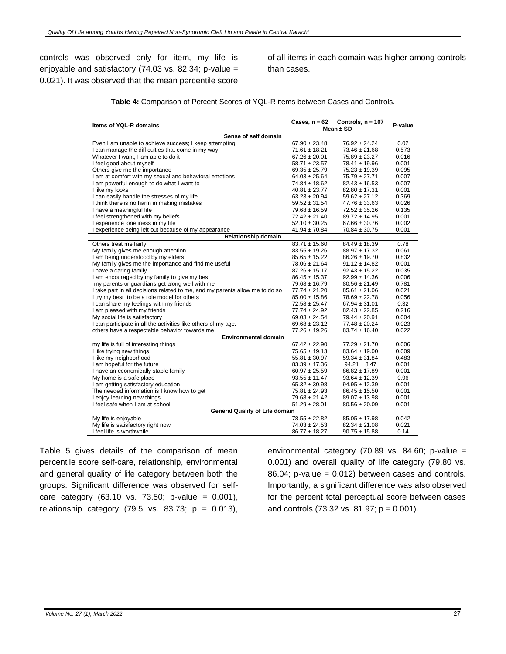controls was observed only for item, my life is enjoyable and satisfactory (74.03 vs. 82.34; p-value = 0.021). It was observed that the mean percentile score of all items in each domain was higher among controls than cases.

**Table 4:** Comparison of Percent Scores of YQL-R items between Cases and Controls.

| <b>Items of YQL-R domains</b>                                                              | Cases, $n = 62$                        | Controls, n = 107                      | P-value        |
|--------------------------------------------------------------------------------------------|----------------------------------------|----------------------------------------|----------------|
|                                                                                            |                                        | Mean $\pm$ SD                          |                |
| Sense of self domain                                                                       |                                        |                                        |                |
| Even I am unable to achieve success; I keep attempting                                     | $67.90 \pm 23.48$                      | $76.92 \pm 24.24$                      | 0.02           |
| I can manage the difficulties that come in my way                                          | $71.61 \pm 18.21$                      | $73.46 \pm 21.68$                      | 0.573          |
| Whatever I want, I am able to do it                                                        | $67.26 \pm 20.01$                      | $75.89 \pm 23.27$                      | 0.016          |
| I feel good about myself                                                                   | $58.71 \pm 23.57$                      | 78.41 ± 19.96                          | 0.001          |
| Others give me the importance                                                              | $69.35 \pm 25.79$                      | $75.23 \pm 19.39$                      | 0.095          |
| I am at comfort with my sexual and behavioral emotions                                     | $64.03 \pm 25.64$                      | $75.79 \pm 27.71$                      | 0.007          |
| I am powerful enough to do what I want to                                                  | $74.84 \pm 18.62$                      | $82.43 \pm 16.53$                      | 0.007          |
| I like my looks                                                                            | $40.81 \pm 23.77$                      | $82.80 \pm 17.31$                      | 0.001          |
| I can easily handle the stresses of my life                                                | $63.23 \pm 20.94$                      | $59.62 \pm 27.12$                      | 0.369          |
| I think there is no harm in making mistakes                                                | $59.52 \pm 31.54$                      | $47.76 \pm 33.63$                      | 0.026          |
| I have a meaningful life                                                                   | $79.68 \pm 16.59$                      | $72.52 \pm 35.26$                      | 0.135          |
| I feel strengthened with my beliefs                                                        | $72.42 \pm 21.40$<br>$52.10 \pm 30.25$ | $89.72 \pm 14.95$<br>$67.66 \pm 30.76$ | 0.001<br>0.002 |
| I experience loneliness in my life<br>I experience being left out because of my appearance | $41.94 \pm 70.84$                      | $70.84 \pm 30.75$                      | 0.001          |
| <b>Relationship domain</b>                                                                 |                                        |                                        |                |
| Others treat me fairly                                                                     | $83.71 \pm 15.60$                      | $84.49 \pm 18.39$                      | 0.78           |
| My family gives me enough attention                                                        | $83.55 \pm 19.26$                      | $88.97 \pm 17.32$                      | 0.061          |
| I am being understood by my elders                                                         | $85.65 \pm 15.22$                      | $86.26 \pm 19.70$                      | 0.832          |
| My family gives me the importance and find me useful                                       | $78.06 \pm 21.64$                      | $91.12 \pm 14.82$                      | 0.001          |
| I have a caring family                                                                     | $87.26 \pm 15.17$                      | $92.43 \pm 15.22$                      | 0.035          |
| I am encouraged by my family to give my best                                               | $86.45 \pm 15.37$                      | $92.99 \pm 14.36$                      | 0.006          |
| my parents or guardians get along well with me                                             | $79.68 \pm 16.79$                      | $80.56 \pm 21.49$                      | 0.781          |
| I take part in all decisions related to me, and my parents allow me to do so               | $77.74 \pm 21.20$                      | $85.61 \pm 21.06$                      | 0.021          |
| I try my best to be a role model for others                                                | $85.00 \pm 15.86$                      | 78.69 ± 22.78                          | 0.056          |
| I can share my feelings with my friends                                                    | $72.58 \pm 25.47$                      | $67.94 \pm 31.01$                      | 0.32           |
| I am pleased with my friends                                                               | $77.74 \pm 24.92$                      | $82.43 \pm 22.85$                      | 0.216          |
| My social life is satisfactory                                                             | $69.03 \pm 24.54$                      | $79.44 \pm 20.91$                      | 0.004          |
| I can participate in all the activities like others of my age.                             | $69.68 \pm 23.12$                      | 77.48 ± 20.24                          | 0.023          |
| others have a respectable behavior towards me                                              | $77.26 \pm 19.26$                      | $83.74 \pm 16.40$                      | 0.022          |
| <b>Environmental domain</b>                                                                |                                        |                                        |                |
| my life is full of interesting things                                                      | $67.42 \pm 22.90$                      | $77.29 \pm 21.70$                      | 0.006          |
| I like trying new things                                                                   | $75.65 \pm 19.13$                      | $83.64 \pm 19.00$                      | 0.009          |
| I like my neighborhood                                                                     | $55.81 \pm 30.97$                      | $59.34 \pm 31.84$                      | 0.483          |
| I am hopeful for the future                                                                | $83.39 \pm 17.36$                      | $94.21 \pm 8.47$                       | 0.001          |
| I have an economically stable family                                                       | $60.97 \pm 25.59$                      | $86.82 \pm 17.89$                      | 0.001          |
| My home is a safe place                                                                    | $93.55 \pm 11.47$                      | $93.64 \pm 12.39$                      | 0.96           |
| I am getting satisfactory education                                                        | $65.32 \pm 30.98$                      | $94.95 \pm 12.39$                      | 0.001          |
| The needed information is I know how to get                                                | $75.81 \pm 24.93$                      | $86.45 \pm 15.50$                      | 0.001          |
| I enjoy learning new things                                                                | $79.68 \pm 21.42$                      | $89.07 \pm 13.98$                      | 0.001          |
| I feel safe when I am at school                                                            | $51.29 \pm 28.01$                      | $80.56 \pm 20.09$                      | 0.001          |
| <b>General Quality of Life domain</b>                                                      |                                        |                                        |                |
| My life is enjoyable                                                                       | $78.55 \pm 22.82$                      | $85.05 \pm 17.98$                      | 0.042          |
| My life is satisfactory right now<br>I feel life is worthwhile                             | $74.03 \pm 24.53$                      | $82.34 \pm 21.08$                      | 0.021<br>0.14  |
|                                                                                            | $86.77 \pm 18.27$                      | $90.75 \pm 15.88$                      |                |

Table 5 gives details of the comparison of mean percentile score self-care, relationship, environmental and general quality of life category between both the groups. Significant difference was observed for selfcare category (63.10 vs. 73.50; p-value = 0.001), relationship category (79.5 vs. 83.73;  $p = 0.013$ ), environmental category (70.89 vs. 84.60; p-value = 0.001) and overall quality of life category (79.80 vs. 86.04; p-value = 0.012) between cases and controls. Importantly, a significant difference was also observed for the percent total perceptual score between cases and controls  $(73.32 \text{ vs. } 81.97; p = 0.001)$ .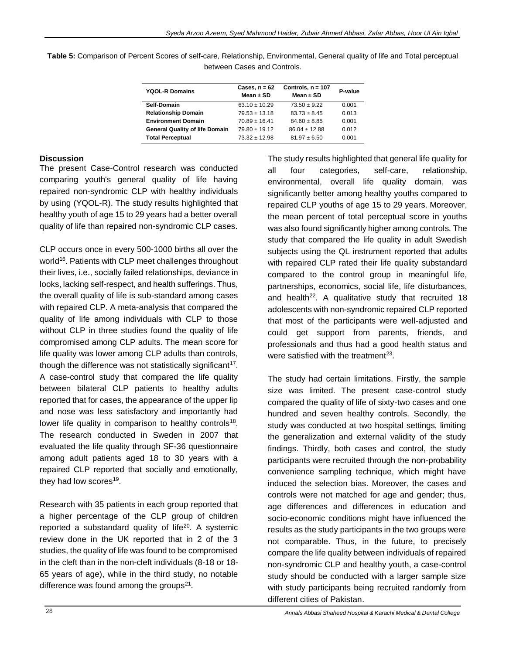| Table 5: Comparison of Percent Scores of self-care, Relationship, Environmental, General quality of life and Total perceptual |
|-------------------------------------------------------------------------------------------------------------------------------|
| between Cases and Controls.                                                                                                   |

| Cases, $n = 62$<br>Mean $\pm$ SD | Controls, $n = 107$<br>Mean $\pm$ SD | P-value |
|----------------------------------|--------------------------------------|---------|
| $63.10 \pm 10.29$                | $73.50 \pm 9.22$                     | 0.001   |
| $79.53 \pm 13.18$                | $83.73 \pm 8.45$                     | 0.013   |
| $70.89 \pm 16.41$                | $84.60 \pm 8.85$                     | 0.001   |
| $79.80 \pm 19.12$                | $86.04 \pm 12.88$                    | 0.012   |
| $73.32 \pm 12.98$                | $81.97 \pm 6.50$                     | 0.001   |
|                                  |                                      |         |

### **Discussion**

The present Case-Control research was conducted comparing youth's general quality of life having repaired non-syndromic CLP with healthy individuals by using (YQOL-R). The study results highlighted that healthy youth of age 15 to 29 years had a better overall quality of life than repaired non-syndromic CLP cases.

CLP occurs once in every 500-1000 births all over the world<sup>16</sup>. Patients with CLP meet challenges throughout their lives, i.e., socially failed relationships, deviance in looks, lacking self-respect, and health sufferings. Thus, the overall quality of life is sub-standard among cases with repaired CLP. A meta-analysis that compared the quality of life among individuals with CLP to those without CLP in three studies found the quality of life compromised among CLP adults. The mean score for life quality was lower among CLP adults than controls, though the difference was not statistically significant<sup>17</sup>. A case-control study that compared the life quality between bilateral CLP patients to healthy adults reported that for cases, the appearance of the upper lip and nose was less satisfactory and importantly had lower life quality in comparison to healthy controls<sup>18</sup>. The research conducted in Sweden in 2007 that evaluated the life quality through SF-36 questionnaire among adult patients aged 18 to 30 years with a repaired CLP reported that socially and emotionally, they had low scores<sup>19</sup>.

Research with 35 patients in each group reported that a higher percentage of the CLP group of children reported a substandard quality of life<sup>20</sup>. A systemic review done in the UK reported that in 2 of the 3 studies, the quality of life was found to be compromised in the cleft than in the non-cleft individuals (8-18 or 18- 65 years of age), while in the third study, no notable difference was found among the groups<sup>21</sup>.

The study results highlighted that general life quality for all four categories, self-care, relationship, environmental, overall life quality domain, was significantly better among healthy youths compared to repaired CLP youths of age 15 to 29 years. Moreover, the mean percent of total perceptual score in youths was also found significantly higher among controls. The study that compared the life quality in adult Swedish subjects using the QL instrument reported that adults with repaired CLP rated their life quality substandard compared to the control group in meaningful life, partnerships, economics, social life, life disturbances, and health<sup>22</sup>. A qualitative study that recruited 18 adolescents with non-syndromic repaired CLP reported that most of the participants were well-adjusted and could get support from parents, friends, and professionals and thus had a good health status and were satisfied with the treatment $^{23}$ .

The study had certain limitations. Firstly, the sample size was limited. The present case-control study compared the quality of life of sixty-two cases and one hundred and seven healthy controls. Secondly, the study was conducted at two hospital settings, limiting the generalization and external validity of the study findings. Thirdly, both cases and control, the study participants were recruited through the non-probability convenience sampling technique, which might have induced the selection bias. Moreover, the cases and controls were not matched for age and gender; thus, age differences and differences in education and socio-economic conditions might have influenced the results as the study participants in the two groups were not comparable. Thus, in the future, to precisely compare the life quality between individuals of repaired non-syndromic CLP and healthy youth, a case-control study should be conducted with a larger sample size with study participants being recruited randomly from different cities of Pakistan.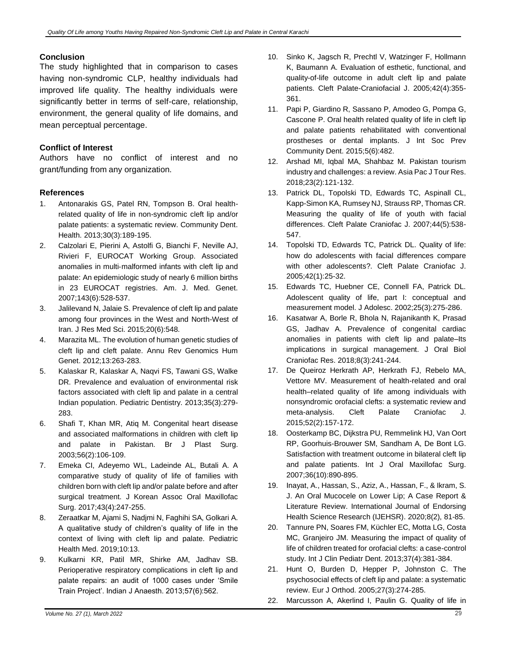### **Conclusion**

The study highlighted that in comparison to cases having non-syndromic CLP, healthy individuals had improved life quality. The healthy individuals were significantly better in terms of self-care, relationship, environment, the general quality of life domains, and mean perceptual percentage.

### **Conflict of Interest**

Authors have no conflict of interest and no grant/funding from any organization.

### **References**

- 1. Antonarakis GS, Patel RN, Tompson B. Oral healthrelated quality of life in non-syndromic cleft lip and/or palate patients: a systematic review. Community Dent. Health. 2013;30(3):189-195.
- 2. Calzolari E, Pierini A, Astolfi G, Bianchi F, Neville AJ, Rivieri F, EUROCAT Working Group. Associated anomalies in multi‐malformed infants with cleft lip and palate: An epidemiologic study of nearly 6 million births in 23 EUROCAT registries. Am. J. Med. Genet. 2007;143(6):528-537.
- 3. Jalilevand N, Jalaie S. Prevalence of cleft lip and palate among four provinces in the West and North-West of Iran. J Res Med Sci. 2015;20(6):548.
- 4. Marazita ML. The evolution of human genetic studies of cleft lip and cleft palate. Annu Rev Genomics Hum Genet. 2012;13:263-283.
- 5. Kalaskar R, Kalaskar A, Naqvi FS, Tawani GS, Walke DR. Prevalence and evaluation of environmental risk factors associated with cleft lip and palate in a central Indian population. Pediatric Dentistry. 2013;35(3):279- 283.
- 6. Shafi T, Khan MR, Atiq M. Congenital heart disease and associated malformations in children with cleft lip and palate in Pakistan. Br J Plast Surg. 2003;56(2):106-109.
- 7. Emeka CI, Adeyemo WL, Ladeinde AL, Butali A. A comparative study of quality of life of families with children born with cleft lip and/or palate before and after surgical treatment. J Korean Assoc Oral Maxillofac Surg. 2017;43(4):247-255.
- 8. Zeraatkar M, Ajami S, Nadjmi N, Faghihi SA, Golkari A. A qualitative study of children's quality of life in the context of living with cleft lip and palate. Pediatric Health Med. 2019;10:13.
- 9. Kulkarni KR, Patil MR, Shirke AM, Jadhav SB. Perioperative respiratory complications in cleft lip and palate repairs: an audit of 1000 cases under 'Smile Train Project'. Indian J Anaesth. 2013;57(6):562.
- 10. Sinko K, Jagsch R, Prechtl V, Watzinger F, Hollmann K, Baumann A. Evaluation of esthetic, functional, and quality-of-life outcome in adult cleft lip and palate patients. Cleft Palate-Craniofacial J. 2005;42(4):355- 361.
- 11. Papi P, Giardino R, Sassano P, Amodeo G, Pompa G, Cascone P. Oral health related quality of life in cleft lip and palate patients rehabilitated with conventional prostheses or dental implants. J Int Soc Prev Community Dent. 2015;5(6):482.
- 12. Arshad MI, Iqbal MA, Shahbaz M. Pakistan tourism industry and challenges: a review. Asia Pac J Tour Res. 2018;23(2):121-132.
- 13. Patrick DL, Topolski TD, Edwards TC, Aspinall CL, Kapp-Simon KA, Rumsey NJ, Strauss RP, Thomas CR. Measuring the quality of life of youth with facial differences. Cleft Palate Craniofac J. 2007;44(5):538- 547.
- 14. Topolski TD, Edwards TC, Patrick DL. Quality of life: how do adolescents with facial differences compare with other adolescents?. Cleft Palate Craniofac J. 2005;42(1):25-32.
- 15. Edwards TC, Huebner CE, Connell FA, Patrick DL. Adolescent quality of life, part I: conceptual and measurement model. J Adolesc. 2002;25(3):275-286.
- 16. Kasatwar A, Borle R, Bhola N, Rajanikanth K, Prasad GS, Jadhav A. Prevalence of congenital cardiac anomalies in patients with cleft lip and palate–Its implications in surgical management. J Oral Biol Craniofac Res. 2018;8(3):241-244.
- 17. De Queiroz Herkrath AP, Herkrath FJ, Rebelo MA, Vettore MV. Measurement of health-related and oral health–related quality of life among individuals with nonsyndromic orofacial clefts: a systematic review and meta-analysis. Cleft Palate Craniofac J. 2015;52(2):157-172.
- 18. Oosterkamp BC, Dijkstra PU, Remmelink HJ, Van Oort RP, Goorhuis-Brouwer SM, Sandham A, De Bont LG. Satisfaction with treatment outcome in bilateral cleft lip and palate patients. Int J Oral Maxillofac Surg. 2007;36(10):890-895.
- 19. Inayat, A., Hassan, S., Aziz, A., Hassan, F., & Ikram, S. J. An Oral Mucocele on Lower Lip; A Case Report & Literature Review. International Journal of Endorsing Health Science Research (IJEHSR). 2020;8(2), 81-85.
- 20. Tannure PN, Soares FM, Küchler EC, Motta LG, Costa MC, Granjeiro JM. Measuring the impact of quality of life of children treated for orofacial clefts: a case-control study. Int J Clin Pediatr Dent. 2013;37(4):381-384.
- 21. Hunt O, Burden D, Hepper P, Johnston C. The psychosocial effects of cleft lip and palate: a systematic review. Eur J Orthod. 2005;27(3):274-285.
- 22. Marcusson A, Akerlind I, Paulin G. Quality of life in